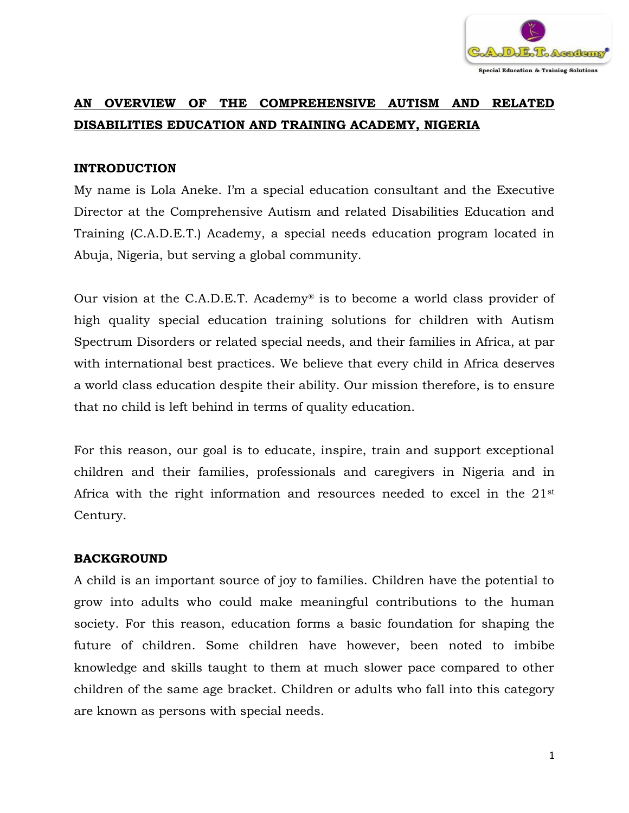

# **AN OVERVIEW OF THE COMPREHENSIVE AUTISM AND RELATED DISABILITIES EDUCATION AND TRAINING ACADEMY, NIGERIA**

## **INTRODUCTION**

My name is Lola Aneke. I'm a special education consultant and the Executive Director at the Comprehensive Autism and related Disabilities Education and Training (C.A.D.E.T.) Academy, a special needs education program located in Abuja, Nigeria, but serving a global community.

Our vision at the C.A.D.E.T. Academy® is to become a world class provider of high quality special education training solutions for children with Autism Spectrum Disorders or related special needs, and their families in Africa, at par with international best practices. We believe that every child in Africa deserves a world class education despite their ability. Our mission therefore, is to ensure that no child is left behind in terms of quality education.

For this reason, our goal is to educate, inspire, train and support exceptional children and their families, professionals and caregivers in Nigeria and in Africa with the right information and resources needed to excel in the 21st Century.

#### **BACKGROUND**

A child is an important source of joy to families. Children have the potential to grow into adults who could make meaningful contributions to the human society. For this reason, education forms a basic foundation for shaping the future of children. Some children have however, been noted to imbibe knowledge and skills taught to them at much slower pace compared to other children of the same age bracket. Children or adults who fall into this category are known as persons with special needs.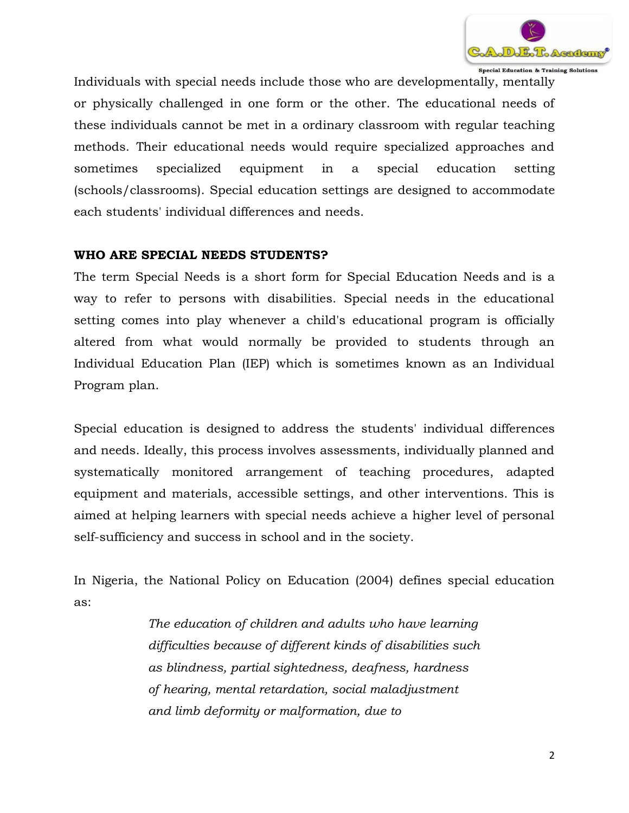

Special Education & Training Solutions

Individuals with special needs include those who are developmentally, mentally or physically challenged in one form or the other. The educational needs of these individuals cannot be met in a ordinary classroom with regular teaching methods. Their educational needs would require specialized approaches and sometimes specialized equipment in a special education setting (schools/classrooms). Special education settings are designed to accommodate each students' individual differences and needs.

#### **WHO ARE SPECIAL NEEDS STUDENTS?**

The term Special Needs is a short form for Special Education Needs and is a way to refer to persons with disabilities. Special needs in the educational setting comes into play whenever a child's educational program is officially altered from what would normally be provided to students through an Individual Education Plan (IEP) which is sometimes known as an Individual Program plan.

Special education is designed to address the students' individual differences and needs. Ideally, this process involves assessments, individually planned and systematically monitored arrangement of teaching procedures, adapted equipment and materials, accessible settings, and other interventions. This is aimed at helping learners with special needs achieve a higher level of personal self-sufficiency and success in school and in the society.

In Nigeria, the National Policy on Education (2004) defines special education as:

> *The education of children and adults who have learning difficulties because of different kinds of disabilities such as blindness, partial sightedness, deafness, hardness of hearing, mental retardation, social maladjustment and limb deformity or malformation, due to*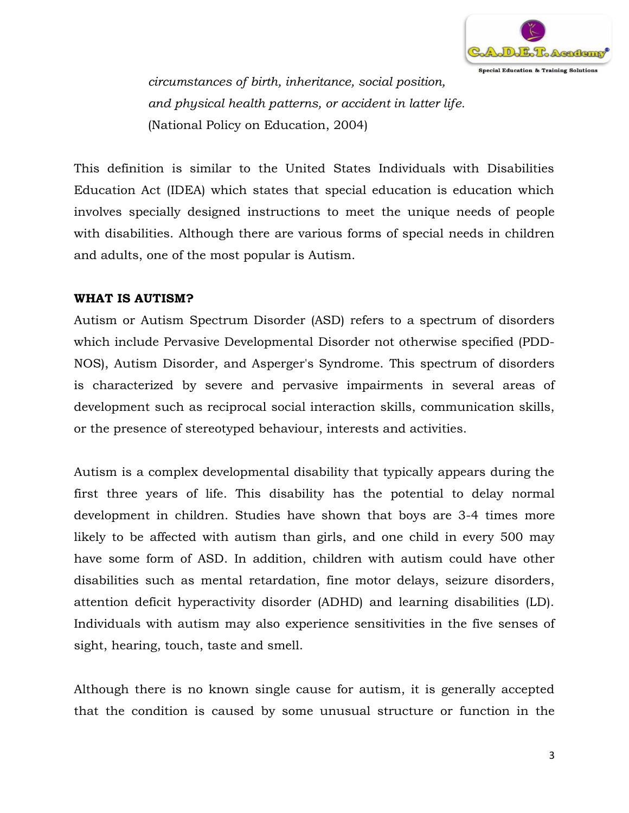

*circumstances of birth, inheritance, social position, and physical health patterns, or accident in latter life.*  (National Policy on Education, 2004)

This definition is similar to the United States Individuals with Disabilities Education Act (IDEA) which states that special education is education which involves specially designed instructions to meet the unique needs of people with disabilities. Although there are various forms of special needs in children and adults, one of the most popular is Autism.

### **WHAT IS AUTISM?**

Autism or Autism Spectrum Disorder (ASD) refers to a spectrum of disorders which include Pervasive Developmental Disorder not otherwise specified (PDD-NOS), Autism Disorder, and Asperger's Syndrome. This spectrum of disorders is characterized by severe and pervasive impairments in several areas of development such as reciprocal social interaction skills, communication skills, or the presence of stereotyped behaviour, interests and activities.

Autism is a complex developmental disability that typically appears during the first three years of life. This disability has the potential to delay normal development in children. Studies have shown that boys are 3-4 times more likely to be affected with autism than girls, and one child in every 500 may have some form of ASD. In addition, children with autism could have other disabilities such as mental retardation, fine motor delays, seizure disorders, attention deficit hyperactivity disorder (ADHD) and learning disabilities (LD). Individuals with autism may also experience sensitivities in the five senses of sight, hearing, touch, taste and smell.

Although there is no known single cause for autism, it is generally accepted that the condition is caused by some unusual structure or function in the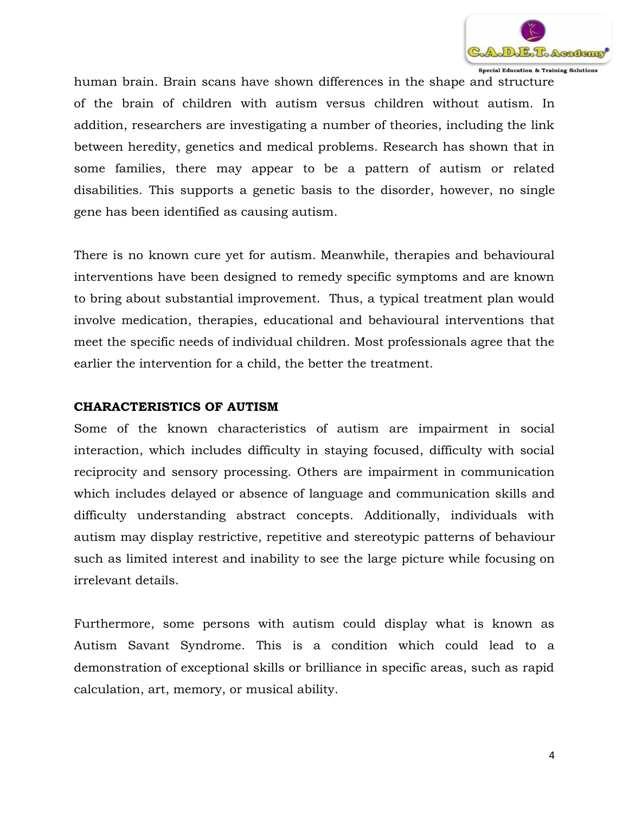

Special Education & Training Solutions

human brain. Brain scans have shown differences in the shape and structure of the brain of children with autism versus children without autism. In addition, researchers are investigating a number of theories, including the link between heredity, genetics and medical problems. Research has shown that in some families, there may appear to be a pattern of autism or related disabilities. This supports a genetic basis to the disorder, however, no single gene has been identified as causing autism.

There is no known cure yet for autism. Meanwhile, therapies and behavioural interventions have been designed to remedy specific symptoms and are known to bring about substantial improvement. Thus, a typical treatment plan would involve medication, therapies, educational and behavioural interventions that meet the specific needs of individual children. Most professionals agree that the earlier the intervention for a child, the better the treatment.

#### **CHARACTERISTICS OF AUTISM**

Some of the known characteristics of autism are impairment in social interaction, which includes difficulty in staying focused, difficulty with social reciprocity and sensory processing. Others are impairment in communication which includes delayed or absence of language and communication skills and difficulty understanding abstract concepts. Additionally, individuals with autism may display restrictive, repetitive and stereotypic patterns of behaviour such as limited interest and inability to see the large picture while focusing on irrelevant details.

Furthermore, some persons with autism could display what is known as Autism Savant Syndrome. This is a condition which could lead to a demonstration of exceptional skills or brilliance in specific areas, such as rapid calculation, art, memory, or musical ability.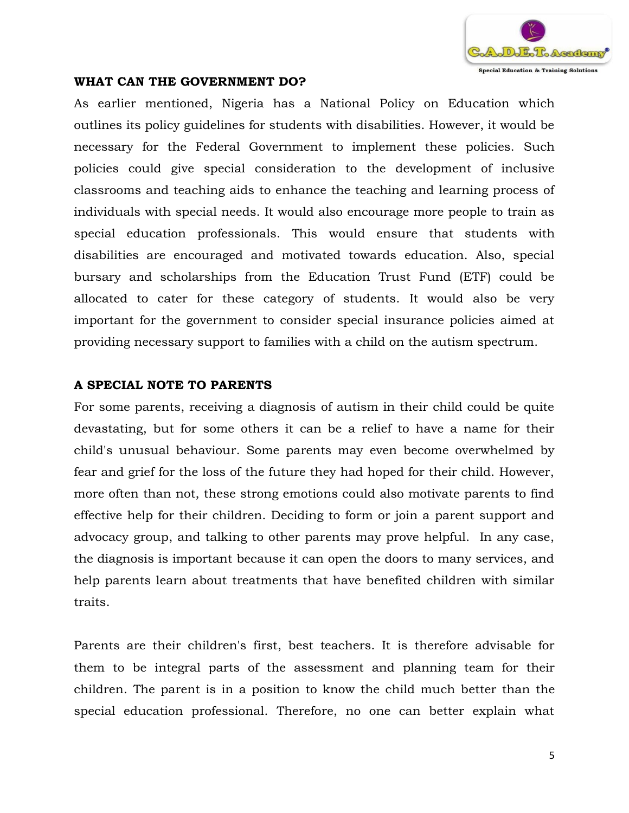

#### **WHAT CAN THE GOVERNMENT DO?**

As earlier mentioned, Nigeria has a National Policy on Education which outlines its policy guidelines for students with disabilities. However, it would be necessary for the Federal Government to implement these policies. Such policies could give special consideration to the development of inclusive classrooms and teaching aids to enhance the teaching and learning process of individuals with special needs. It would also encourage more people to train as special education professionals. This would ensure that students with disabilities are encouraged and motivated towards education. Also, special bursary and scholarships from the Education Trust Fund (ETF) could be allocated to cater for these category of students. It would also be very important for the government to consider special insurance policies aimed at providing necessary support to families with a child on the autism spectrum.

#### **A SPECIAL NOTE TO PARENTS**

For some parents, receiving a diagnosis of autism in their child could be quite devastating, but for some others it can be a relief to have a name for their child's unusual behaviour. Some parents may even become overwhelmed by fear and grief for the loss of the future they had hoped for their child. However, more often than not, these strong emotions could also motivate parents to find effective help for their children. Deciding to form or join a parent support and advocacy group, and talking to other parents may prove helpful. In any case, the diagnosis is important because it can open the doors to many services, and help parents learn about treatments that have benefited children with similar traits.

Parents are their children's first, best teachers. It is therefore advisable for them to be integral parts of the assessment and planning team for their children. The parent is in a position to know the child much better than the special education professional. Therefore, no one can better explain what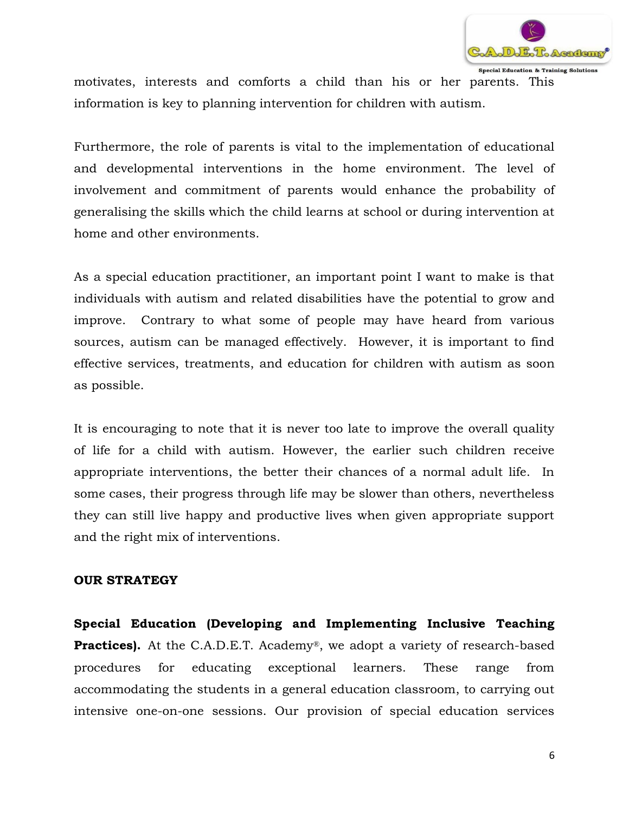

motivates, interests and comforts a child than his or her parents. This information is key to planning intervention for children with autism.

Furthermore, the role of parents is vital to the implementation of educational and developmental interventions in the home environment. The level of involvement and commitment of parents would enhance the probability of generalising the skills which the child learns at school or during intervention at home and other environments.

As a special education practitioner, an important point I want to make is that individuals with autism and related disabilities have the potential to grow and improve. Contrary to what some of people may have heard from various sources, autism can be managed effectively. However, it is important to find effective services, treatments, and education for children with autism as soon as possible.

It is encouraging to note that it is never too late to improve the overall quality of life for a child with autism. However, the earlier such children receive appropriate interventions, the better their chances of a normal adult life. In some cases, their progress through life may be slower than others, nevertheless they can still live happy and productive lives when given appropriate support and the right mix of interventions.

#### **OUR STRATEGY**

**Special Education (Developing and Implementing Inclusive Teaching Practices).** At the C.A.D.E.T. Academy®, we adopt a variety of research-based procedures for educating exceptional learners. These range from accommodating the students in a general education classroom, to carrying out intensive one-on-one sessions. Our provision of special education services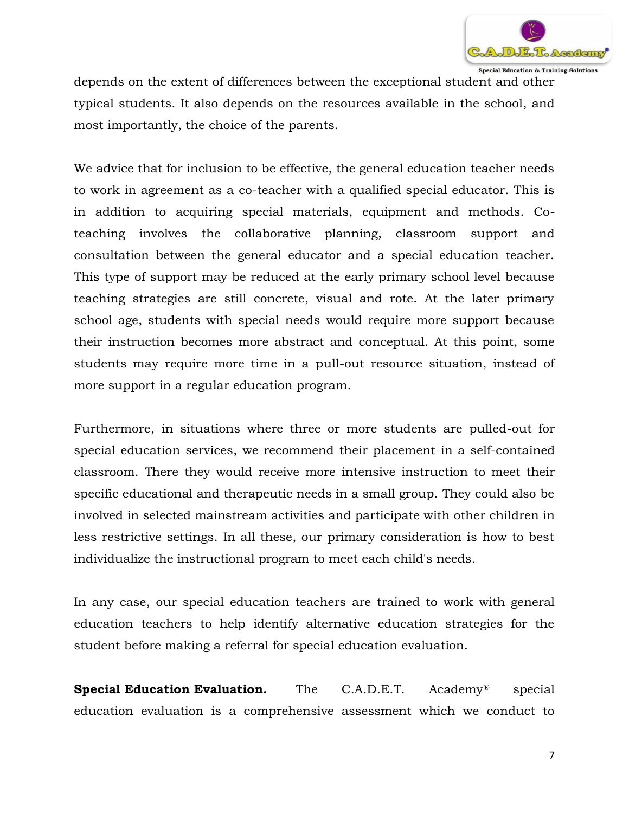

depends on the extent of differences between the exceptional student and other typical students. It also depends on the resources available in the school, and most importantly, the choice of the parents.

We advice that for inclusion to be effective, the general education teacher needs to work in agreement as a co-teacher with a qualified special educator. This is in addition to acquiring special materials, equipment and methods. Coteaching involves the collaborative planning, classroom support and consultation between the general educator and a special education teacher. This type of support may be reduced at the early primary school level because teaching strategies are still concrete, visual and rote. At the later primary school age, students with special needs would require more support because their instruction becomes more abstract and conceptual. At this point, some students may require more time in a pull-out resource situation, instead of more support in a regular education program.

Furthermore, in situations where three or more students are pulled-out for special education services, we recommend their placement in a self-contained classroom. There they would receive more intensive instruction to meet their specific educational and therapeutic needs in a small group. They could also be involved in selected mainstream activities and participate with other children in less restrictive settings. In all these, our primary consideration is how to best individualize the instructional program to meet each child's needs.

In any case, our special education teachers are trained to work with general education teachers to help identify alternative education strategies for the student before making a referral for special education evaluation.

**Special Education Evaluation.** The C.A.D.E.T. Academy<sup>®</sup> special education evaluation is a comprehensive assessment which we conduct to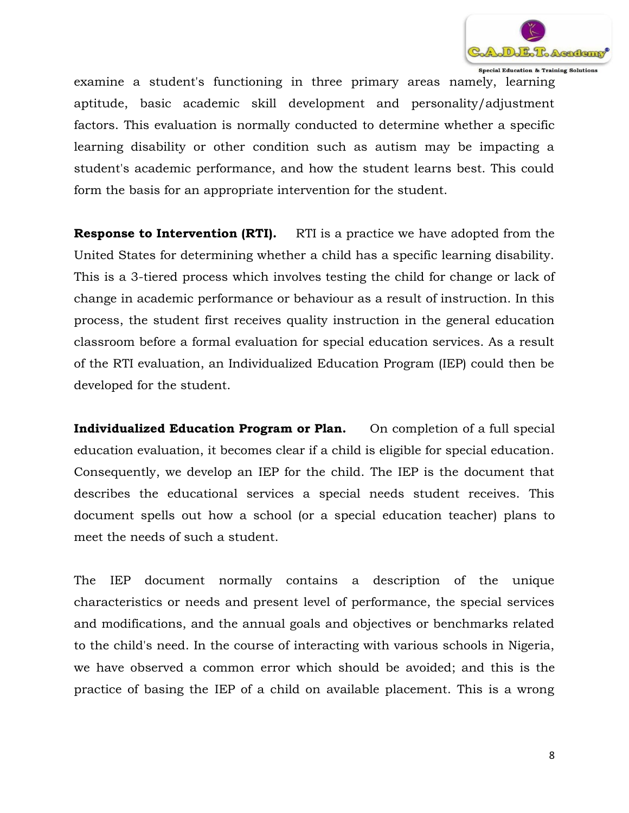

Special Education & Training Solutions

examine a student's functioning in three primary areas namely, learning aptitude, basic academic skill development and personality/adjustment factors. This evaluation is normally conducted to determine whether a specific learning disability or other condition such as autism may be impacting a student's academic performance, and how the student learns best. This could form the basis for an appropriate intervention for the student.

**Response to Intervention (RTI).** RTI is a practice we have adopted from the United States for determining whether a child has a specific learning disability. This is a 3-tiered process which involves testing the child for change or lack of change in academic performance or behaviour as a result of instruction. In this process, the student first receives quality instruction in the general education classroom before a formal evaluation for special education services. As a result of the RTI evaluation, an Individualized Education Program (IEP) could then be developed for the student.

**Individualized Education Program or Plan.** On completion of a full special education evaluation, it becomes clear if a child is eligible for special education. Consequently, we develop an IEP for the child. The IEP is the document that describes the educational services a special needs student receives. This document spells out how a school (or a special education teacher) plans to meet the needs of such a student.

The IEP document normally contains a description of the unique characteristics or needs and present level of performance, the special services and modifications, and the annual goals and objectives or benchmarks related to the child's need. In the course of interacting with various schools in Nigeria, we have observed a common error which should be avoided; and this is the practice of basing the IEP of a child on available placement. This is a wrong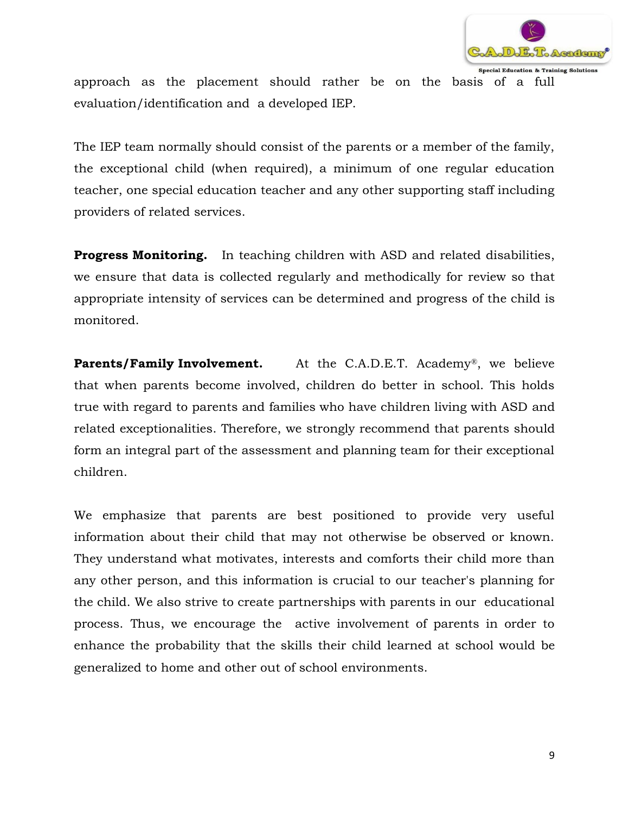

approach as the placement should rather be on the basis of a full evaluation/identification and a developed IEP.

The IEP team normally should consist of the parents or a member of the family, the exceptional child (when required), a minimum of one regular education teacher, one special education teacher and any other supporting staff including providers of related services.

**Progress Monitoring.** In teaching children with ASD and related disabilities, we ensure that data is collected regularly and methodically for review so that appropriate intensity of services can be determined and progress of the child is monitored.

**Parents/Family Involvement.** At the C.A.D.E.T. Academy<sup>®</sup>, we believe that when parents become involved, children do better in school. This holds true with regard to parents and families who have children living with ASD and related exceptionalities. Therefore, we strongly recommend that parents should form an integral part of the assessment and planning team for their exceptional children.

We emphasize that parents are best positioned to provide very useful information about their child that may not otherwise be observed or known. They understand what motivates, interests and comforts their child more than any other person, and this information is crucial to our teacher's planning for the child. We also strive to create partnerships with parents in our educational process. Thus, we encourage the active involvement of parents in order to enhance the probability that the skills their child learned at school would be generalized to home and other out of school environments.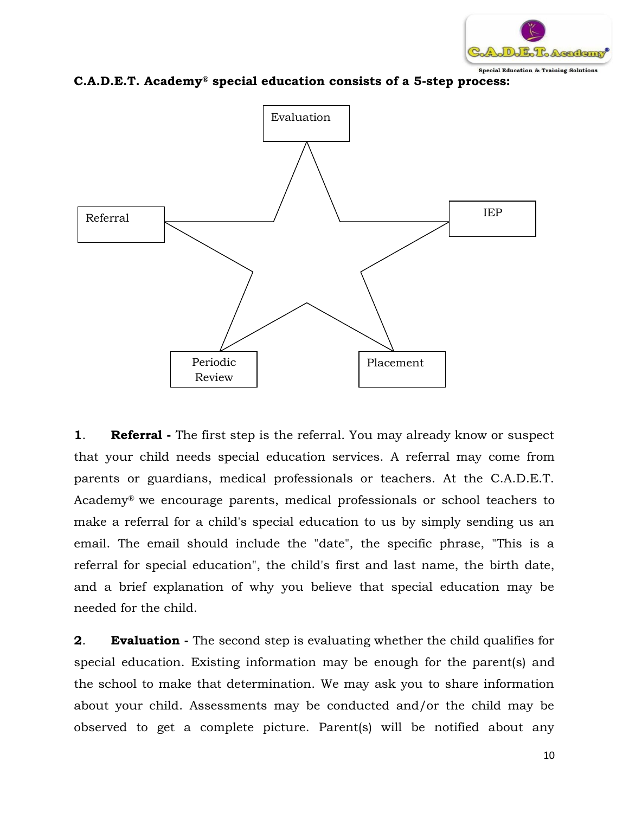

**C.A.D.E.T. Academy® special education consists of a 5-step process:**



**1**. **Referral -** The first step is the referral. You may already know or suspect that your child needs special education services. A referral may come from parents or guardians, medical professionals or teachers. At the C.A.D.E.T. Academy® we encourage parents, medical professionals or school teachers to make a referral for a child's special education to us by simply sending us an email. The email should include the "date", the specific phrase, "This is a referral for special education", the child's first and last name, the birth date, and a brief explanation of why you believe that special education may be needed for the child.

**2**. **Evaluation -** The second step is evaluating whether the child qualifies for special education. Existing information may be enough for the parent(s) and the school to make that determination. We may ask you to share information about your child. Assessments may be conducted and/or the child may be observed to get a complete picture. Parent(s) will be notified about any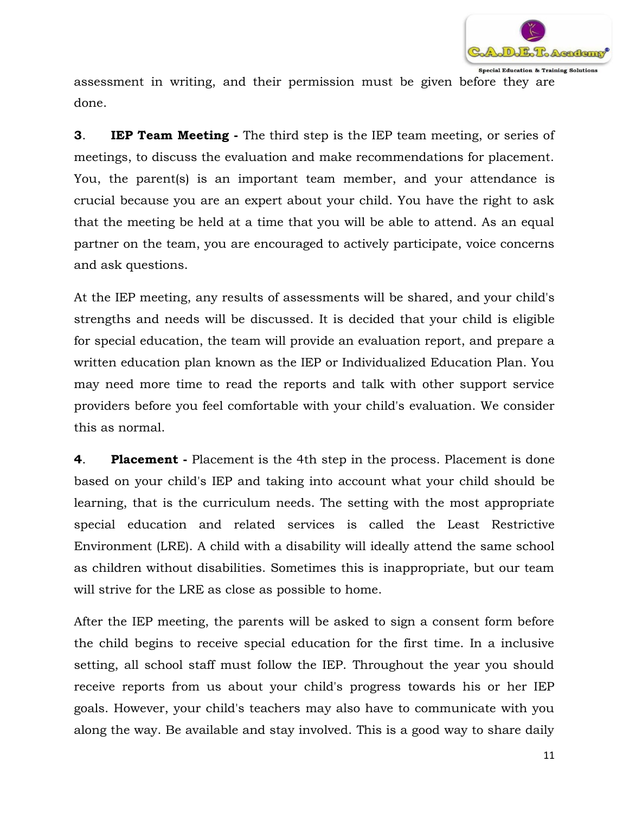

assessment in writing, and their permission must be given before they are done.

**3**. **IEP Team Meeting -** The third step is the IEP team meeting, or series of meetings, to discuss the evaluation and make recommendations for placement. You, the parent(s) is an important team member, and your attendance is crucial because you are an expert about your child. You have the right to ask that the meeting be held at a time that you will be able to attend. As an equal partner on the team, you are encouraged to actively participate, voice concerns and ask questions.

At the IEP meeting, any results of assessments will be shared, and your child's strengths and needs will be discussed. It is decided that your child is eligible for special education, the team will provide an evaluation report, and prepare a written education plan known as the IEP or Individualized Education Plan. You may need more time to read the reports and talk with other support service providers before you feel comfortable with your child's evaluation. We consider this as normal.

**4**. **Placement -** Placement is the 4th step in the process. Placement is done based on your child's IEP and taking into account what your child should be learning, that is the curriculum needs. The setting with the most appropriate special education and related services is called the Least Restrictive Environment (LRE). A child with a disability will ideally attend the same school as children without disabilities. Sometimes this is inappropriate, but our team will strive for the LRE as close as possible to home.

After the IEP meeting, the parents will be asked to sign a consent form before the child begins to receive special education for the first time. In a inclusive setting, all school staff must follow the IEP. Throughout the year you should receive reports from us about your child's progress towards his or her IEP goals. However, your child's teachers may also have to communicate with you along the way. Be available and stay involved. This is a good way to share daily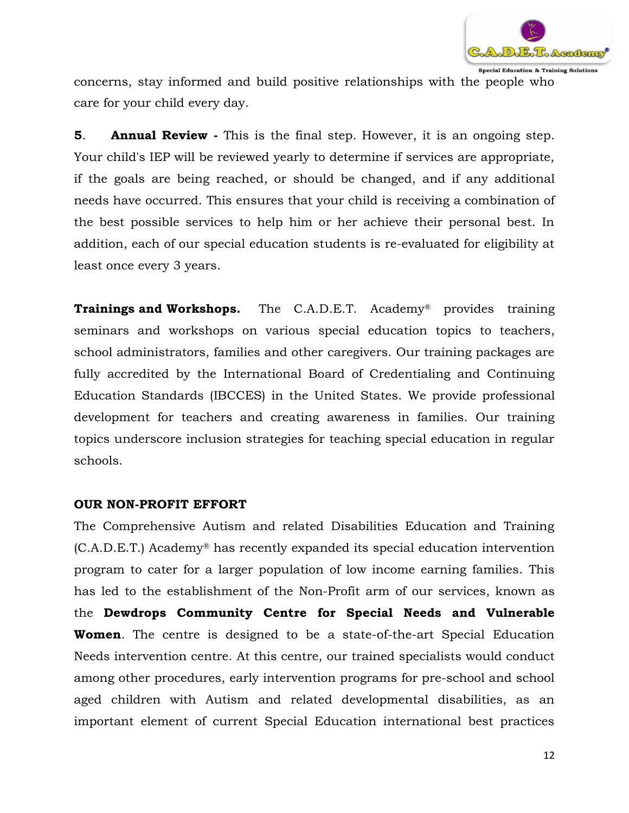

concerns, stay informed and build positive relationships with the people who care for your child every day.

**5**. **Annual Review -** This is the final step. However, it is an ongoing step. Your child's IEP will be reviewed yearly to determine if services are appropriate, if the goals are being reached, or should be changed, and if any additional needs have occurred. This ensures that your child is receiving a combination of the best possible services to help him or her achieve their personal best. In addition, each of our special education students is re-evaluated for eligibility at least once every 3 years.

**Trainings and Workshops.** The C.A.D.E.T. Academy<sup>®</sup> provides training seminars and workshops on various special education topics to teachers, school administrators, families and other caregivers. Our training packages are fully accredited by the International Board of Credentialing and Continuing Education Standards (IBCCES) in the United States. We provide professional development for teachers and creating awareness in families. Our training topics underscore inclusion strategies for teaching special education in regular schools.

#### **OUR NON-PROFIT EFFORT**

The Comprehensive Autism and related Disabilities Education and Training (C.A.D.E.T.) Academy® has recently expanded its special education intervention program to cater for a larger population of low income earning families. This has led to the establishment of the Non-Profit arm of our services, known as the **Dewdrops Community Centre for Special Needs and Vulnerable Women**. The centre is designed to be a state-of-the-art Special Education Needs intervention centre. At this centre, our trained specialists would conduct among other procedures, early intervention programs for pre-school and school aged children with Autism and related developmental disabilities, as an important element of current Special Education international best practices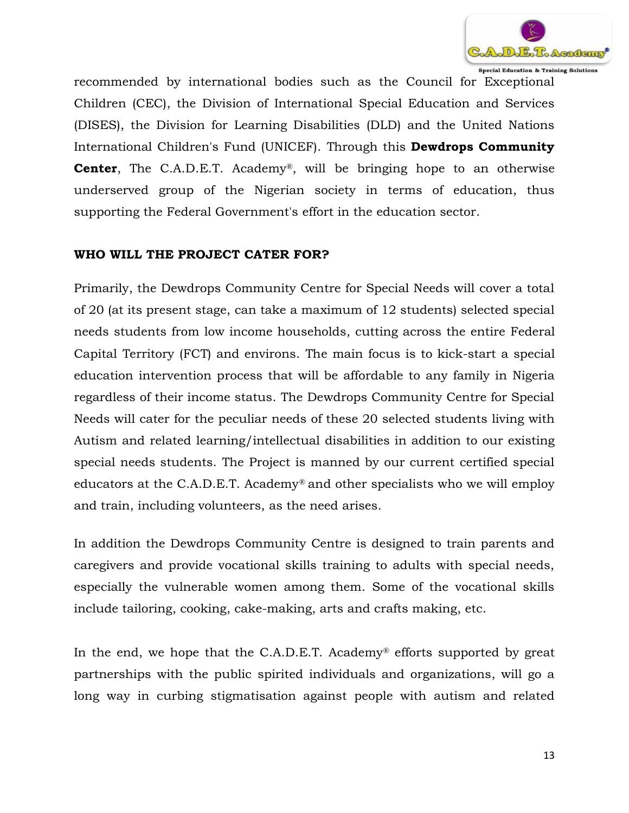

recommended by international bodies such as the Council for Exceptional Children (CEC), the Division of International Special Education and Services (DISES), the Division for Learning Disabilities (DLD) and the United Nations International Children's Fund (UNICEF). Through this **Dewdrops Community Center**, The C.A.D.E.T. Academy®, will be bringing hope to an otherwise underserved group of the Nigerian society in terms of education, thus supporting the Federal Government's effort in the education sector.

# **WHO WILL THE PROJECT CATER FOR?**

Primarily, the Dewdrops Community Centre for Special Needs will cover a total of 20 (at its present stage, can take a maximum of 12 students) selected special needs students from low income households, cutting across the entire Federal Capital Territory (FCT) and environs. The main focus is to kick-start a special education intervention process that will be affordable to any family in Nigeria regardless of their income status. The Dewdrops Community Centre for Special Needs will cater for the peculiar needs of these 20 selected students living with Autism and related learning/intellectual disabilities in addition to our existing special needs students. The Project is manned by our current certified special educators at the C.A.D.E.T. Academy® and other specialists who we will employ and train, including volunteers, as the need arises.

In addition the Dewdrops Community Centre is designed to train parents and caregivers and provide vocational skills training to adults with special needs, especially the vulnerable women among them. Some of the vocational skills include tailoring, cooking, cake-making, arts and crafts making, etc.

In the end, we hope that the C.A.D.E.T. Academy® efforts supported by great partnerships with the public spirited individuals and organizations, will go a long way in curbing stigmatisation against people with autism and related